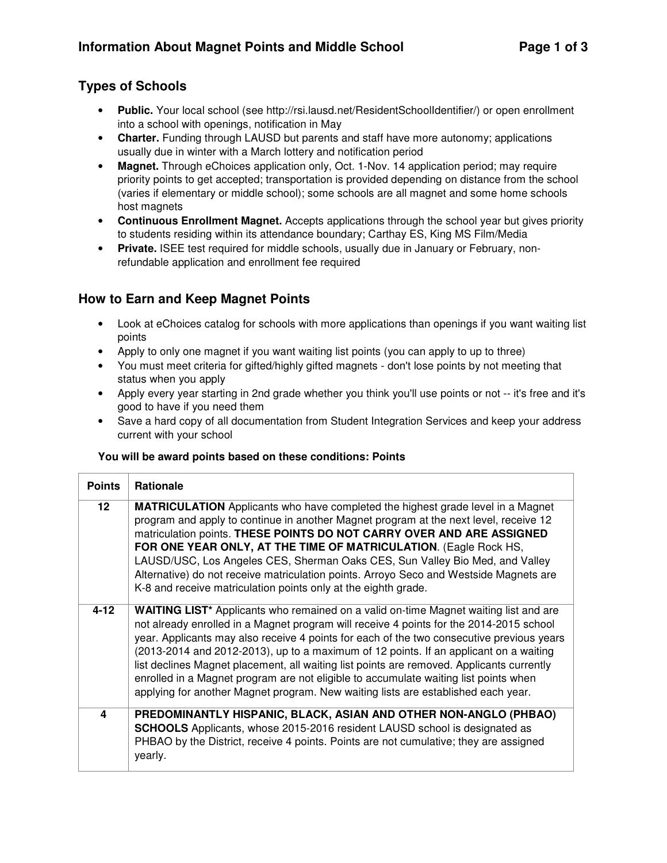# **Types of Schools**

- **Public.** Your local school (see http://rsi.lausd.net/ResidentSchoolIdentifier/) or open enrollment into a school with openings, notification in May
- **Charter.** Funding through LAUSD but parents and staff have more autonomy; applications usually due in winter with a March lottery and notification period
- Magnet. Through eChoices application only, Oct. 1-Nov. 14 application period; may require priority points to get accepted; transportation is provided depending on distance from the school (varies if elementary or middle school); some schools are all magnet and some home schools host magnets
- **Continuous Enrollment Magnet.** Accepts applications through the school year but gives priority to students residing within its attendance boundary; Carthay ES, King MS Film/Media
- **Private.** ISEE test required for middle schools, usually due in January or February, nonrefundable application and enrollment fee required

# **How to Earn and Keep Magnet Points**

- Look at eChoices catalog for schools with more applications than openings if you want waiting list points
- Apply to only one magnet if you want waiting list points (you can apply to up to three)
- You must meet criteria for gifted/highly gifted magnets don't lose points by not meeting that status when you apply
- Apply every year starting in 2nd grade whether you think you'll use points or not -- it's free and it's good to have if you need them
- Save a hard copy of all documentation from Student Integration Services and keep your address current with your school

#### **You will be award points based on these conditions: Points**

| <b>Points</b>   | <b>Rationale</b>                                                                                                                                                                                                                                                                                                                                                                                                                                                                                                                                                                                                                                       |
|-----------------|--------------------------------------------------------------------------------------------------------------------------------------------------------------------------------------------------------------------------------------------------------------------------------------------------------------------------------------------------------------------------------------------------------------------------------------------------------------------------------------------------------------------------------------------------------------------------------------------------------------------------------------------------------|
| 12 <sup>2</sup> | <b>MATRICULATION</b> Applicants who have completed the highest grade level in a Magnet<br>program and apply to continue in another Magnet program at the next level, receive 12<br>matriculation points. THESE POINTS DO NOT CARRY OVER AND ARE ASSIGNED<br>FOR ONE YEAR ONLY, AT THE TIME OF MATRICULATION. (Eagle Rock HS,<br>LAUSD/USC, Los Angeles CES, Sherman Oaks CES, Sun Valley Bio Med, and Valley<br>Alternative) do not receive matriculation points. Arroyo Seco and Westside Magnets are<br>K-8 and receive matriculation points only at the eighth grade.                                                                               |
| $4 - 12$        | <b>WAITING LIST*</b> Applicants who remained on a valid on-time Magnet waiting list and are<br>not already enrolled in a Magnet program will receive 4 points for the 2014-2015 school<br>year. Applicants may also receive 4 points for each of the two consecutive previous years<br>(2013-2014 and 2012-2013), up to a maximum of 12 points. If an applicant on a waiting<br>list declines Magnet placement, all waiting list points are removed. Applicants currently<br>enrolled in a Magnet program are not eligible to accumulate waiting list points when<br>applying for another Magnet program. New waiting lists are established each year. |
| 4               | PREDOMINANTLY HISPANIC, BLACK, ASIAN AND OTHER NON-ANGLO (PHBAO)<br><b>SCHOOLS</b> Applicants, whose 2015-2016 resident LAUSD school is designated as<br>PHBAO by the District, receive 4 points. Points are not cumulative; they are assigned<br>yearly.                                                                                                                                                                                                                                                                                                                                                                                              |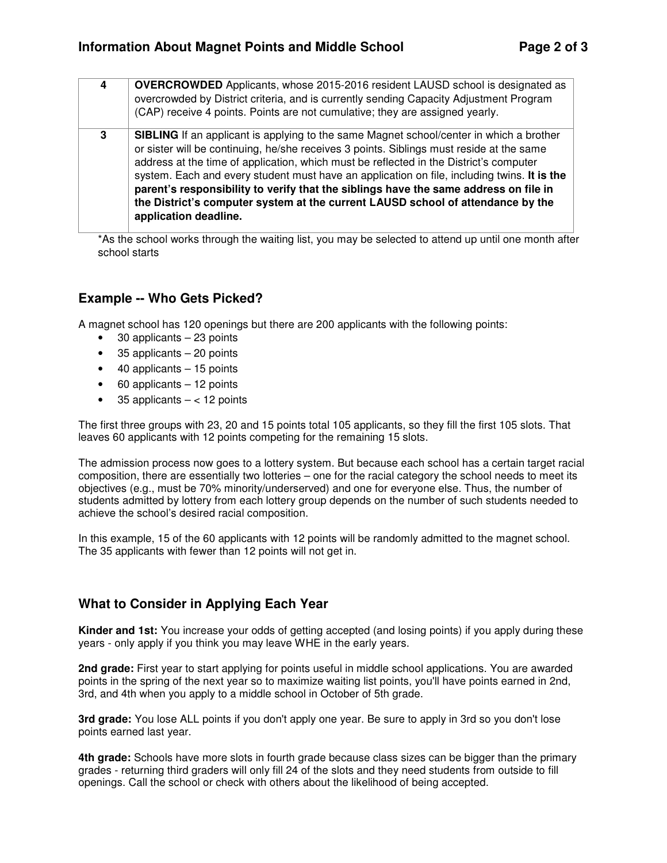| 4 | <b>OVERCROWDED</b> Applicants, whose 2015-2016 resident LAUSD school is designated as<br>overcrowded by District criteria, and is currently sending Capacity Adjustment Program<br>(CAP) receive 4 points. Points are not cumulative; they are assigned yearly.                                                                                                                                                                                                                                                                                                                         |
|---|-----------------------------------------------------------------------------------------------------------------------------------------------------------------------------------------------------------------------------------------------------------------------------------------------------------------------------------------------------------------------------------------------------------------------------------------------------------------------------------------------------------------------------------------------------------------------------------------|
| 3 | <b>SIBLING</b> If an applicant is applying to the same Magnet school/center in which a brother<br>or sister will be continuing, he/she receives 3 points. Siblings must reside at the same<br>address at the time of application, which must be reflected in the District's computer<br>system. Each and every student must have an application on file, including twins. It is the<br>parent's responsibility to verify that the siblings have the same address on file in<br>the District's computer system at the current LAUSD school of attendance by the<br>application deadline. |

\*As the school works through the waiting list, you may be selected to attend up until one month after school starts

## **Example -- Who Gets Picked?**

A magnet school has 120 openings but there are 200 applicants with the following points:

- 30 applicants 23 points
- 35 applicants 20 points
- $\bullet$  40 applicants  $-15$  points
- 60 applicants 12 points
- 35 applicants  $-$  < 12 points

The first three groups with 23, 20 and 15 points total 105 applicants, so they fill the first 105 slots. That leaves 60 applicants with 12 points competing for the remaining 15 slots.

The admission process now goes to a lottery system. But because each school has a certain target racial composition, there are essentially two lotteries – one for the racial category the school needs to meet its objectives (e.g., must be 70% minority/underserved) and one for everyone else. Thus, the number of students admitted by lottery from each lottery group depends on the number of such students needed to achieve the school's desired racial composition.

In this example, 15 of the 60 applicants with 12 points will be randomly admitted to the magnet school. The 35 applicants with fewer than 12 points will not get in.

## **What to Consider in Applying Each Year**

**Kinder and 1st:** You increase your odds of getting accepted (and losing points) if you apply during these years - only apply if you think you may leave WHE in the early years.

**2nd grade:** First year to start applying for points useful in middle school applications. You are awarded points in the spring of the next year so to maximize waiting list points, you'll have points earned in 2nd, 3rd, and 4th when you apply to a middle school in October of 5th grade.

**3rd grade:** You lose ALL points if you don't apply one year. Be sure to apply in 3rd so you don't lose points earned last year.

**4th grade:** Schools have more slots in fourth grade because class sizes can be bigger than the primary grades - returning third graders will only fill 24 of the slots and they need students from outside to fill openings. Call the school or check with others about the likelihood of being accepted.